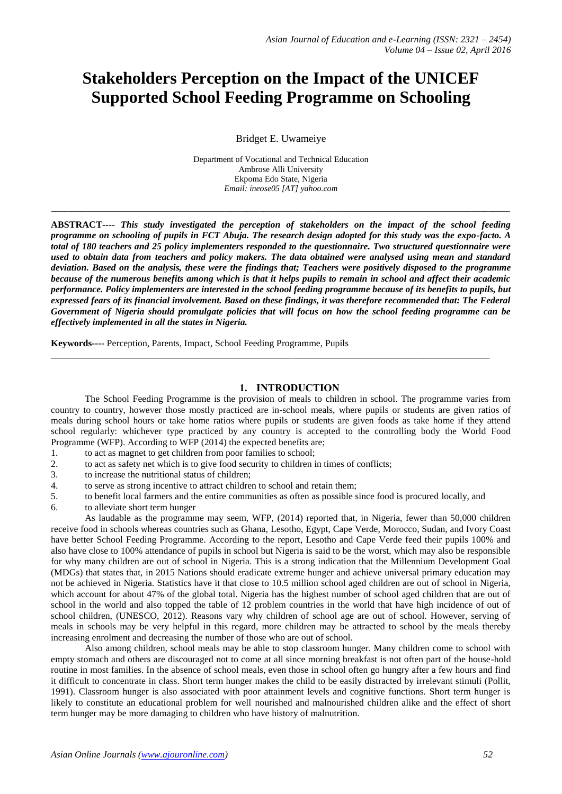# **Stakeholders Perception on the Impact of the UNICEF Supported School Feeding Programme on Schooling**

Bridget E. Uwameiye

Department of Vocational and Technical Education Ambrose Alli University Ekpoma Edo State, Nigeria *Email: ineose05 [AT] yahoo.com*

*\_\_\_\_\_\_\_\_\_\_\_\_\_\_\_\_\_\_\_\_\_\_\_\_\_\_\_\_\_\_\_\_\_\_\_\_\_\_\_\_\_\_\_\_\_\_\_\_\_\_\_\_\_\_\_\_\_\_\_\_\_\_\_\_\_\_\_\_\_\_\_\_\_\_\_\_\_\_\_\_\_\_\_\_\_\_\_\_\_\_\_\_\_\_\_\_\_\_\_\_\_\_\_\_\_\_\_\_*

**ABSTRACT----** *This study investigated the perception of stakeholders on the impact of the school feeding programme on schooling of pupils in FCT Abuja. The research design adopted for this study was the expo-facto. A total of 180 teachers and 25 policy implementers responded to the questionnaire. Two structured questionnaire were used to obtain data from teachers and policy makers. The data obtained were analysed using mean and standard deviation. Based on the analysis, these were the findings that; Teachers were positively disposed to the programme because of the numerous benefits among which is that it helps pupils to remain in school and affect their academic performance. Policy implementers are interested in the school feeding programme because of its benefits to pupils, but expressed fears of its financial involvement. Based on these findings, it was therefore recommended that: The Federal Government of Nigeria should promulgate policies that will focus on how the school feeding programme can be effectively implemented in all the states in Nigeria.*

**Keywords----** Perception, Parents, Impact, School Feeding Programme, Pupils

## **1. INTRODUCTION**

The School Feeding Programme is the provision of meals to children in school. The programme varies from country to country, however those mostly practiced are in-school meals, where pupils or students are given ratios of meals during school hours or take home ratios where pupils or students are given foods as take home if they attend school regularly: whichever type practiced by any country is accepted to the controlling body the World Food Programme (WFP). According to WFP (2014) the expected benefits are;

\_\_\_\_\_\_\_\_\_\_\_\_\_\_\_\_\_\_\_\_\_\_\_\_\_\_\_\_\_\_\_\_\_\_\_\_\_\_\_\_\_\_\_\_\_\_\_\_\_\_\_\_\_\_\_\_\_\_\_\_\_\_\_\_\_\_\_\_\_\_\_\_\_\_\_\_\_\_\_\_\_\_\_\_\_\_\_\_\_\_\_\_\_

- 1. to act as magnet to get children from poor families to school;
- 2. to act as safety net which is to give food security to children in times of conflicts;
- 3. to increase the nutritional status of children;
- 4. to serve as strong incentive to attract children to school and retain them;
- 5. to benefit local farmers and the entire communities as often as possible since food is procured locally, and
- 6. to alleviate short term hunger

As laudable as the programme may seem, WFP, (2014) reported that, in Nigeria, fewer than 50,000 children receive food in schools whereas countries such as Ghana, Lesotho, Egypt, Cape Verde, Morocco, Sudan, and Ivory Coast have better School Feeding Programme. According to the report, Lesotho and Cape Verde feed their pupils 100% and also have close to 100% attendance of pupils in school but Nigeria is said to be the worst, which may also be responsible for why many children are out of school in Nigeria. This is a strong indication that the Millennium Development Goal (MDGs) that states that, in 2015 Nations should eradicate extreme hunger and achieve universal primary education may not be achieved in Nigeria. Statistics have it that close to 10.5 million school aged children are out of school in Nigeria, which account for about 47% of the global total. Nigeria has the highest number of school aged children that are out of school in the world and also topped the table of 12 problem countries in the world that have high incidence of out of school children, (UNESCO, 2012). Reasons vary why children of school age are out of school. However, serving of meals in schools may be very helpful in this regard, more children may be attracted to school by the meals thereby increasing enrolment and decreasing the number of those who are out of school.

Also among children, school meals may be able to stop classroom hunger. Many children come to school with empty stomach and others are discouraged not to come at all since morning breakfast is not often part of the house-hold routine in most families. In the absence of school meals, even those in school often go hungry after a few hours and find it difficult to concentrate in class. Short term hunger makes the child to be easily distracted by irrelevant stimuli (Pollit, 1991). Classroom hunger is also associated with poor attainment levels and cognitive functions. Short term hunger is likely to constitute an educational problem for well nourished and malnourished children alike and the effect of short term hunger may be more damaging to children who have history of malnutrition.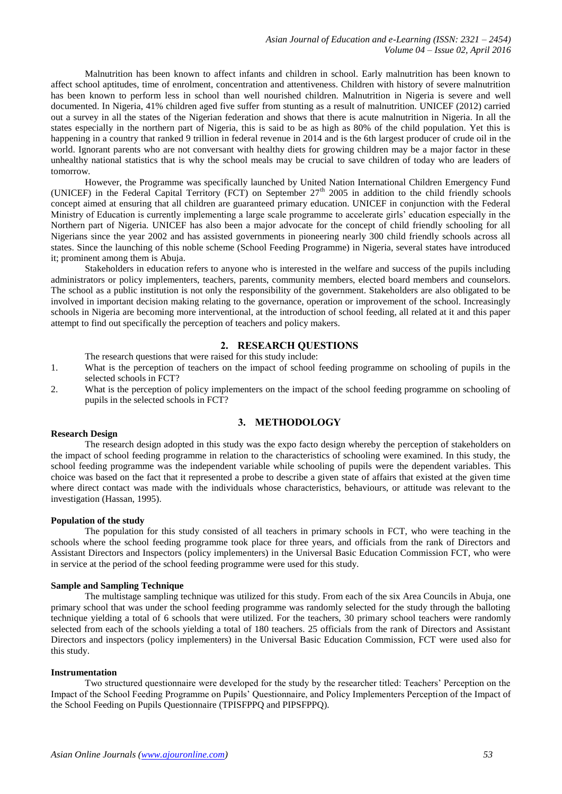Malnutrition has been known to affect infants and children in school. Early malnutrition has been known to affect school aptitudes, time of enrolment, concentration and attentiveness. Children with history of severe malnutrition has been known to perform less in school than well nourished children. Malnutrition in Nigeria is severe and well documented. In Nigeria, 41% children aged five suffer from stunting as a result of malnutrition. UNICEF (2012) carried out a survey in all the states of the Nigerian federation and shows that there is acute malnutrition in Nigeria. In all the states especially in the northern part of Nigeria, this is said to be as high as 80% of the child population. Yet this is happening in a country that ranked 9 trillion in federal revenue in 2014 and is the 6th largest producer of crude oil in the world. Ignorant parents who are not conversant with healthy diets for growing children may be a major factor in these unhealthy national statistics that is why the school meals may be crucial to save children of today who are leaders of tomorrow.

However, the Programme was specifically launched by United Nation International Children Emergency Fund (UNICEF) in the Federal Capital Territory (FCT) on September  $27<sup>th</sup>$  2005 in addition to the child friendly schools concept aimed at ensuring that all children are guaranteed primary education. UNICEF in conjunction with the Federal Ministry of Education is currently implementing a large scale programme to accelerate girls' education especially in the Northern part of Nigeria. UNICEF has also been a major advocate for the concept of child friendly schooling for all Nigerians since the year 2002 and has assisted governments in pioneering nearly 300 child friendly schools across all states. Since the launching of this noble scheme (School Feeding Programme) in Nigeria, several states have introduced it; prominent among them is Abuja.

Stakeholders in education refers to anyone who is interested in the welfare and success of the pupils including administrators or policy implementers, teachers, parents, community members, elected board members and counselors. The school as a public institution is not only the responsibility of the government. Stakeholders are also obligated to be involved in important decision making relating to the governance, operation or improvement of the school. Increasingly schools in Nigeria are becoming more interventional, at the introduction of school feeding, all related at it and this paper attempt to find out specifically the perception of teachers and policy makers.

# **2. RESEARCH QUESTIONS**

The research questions that were raised for this study include:

- 1. What is the perception of teachers on the impact of school feeding programme on schooling of pupils in the selected schools in FCT?
- 2. What is the perception of policy implementers on the impact of the school feeding programme on schooling of pupils in the selected schools in FCT?

# **3. METHODOLOGY**

### **Research Design**

The research design adopted in this study was the expo facto design whereby the perception of stakeholders on the impact of school feeding programme in relation to the characteristics of schooling were examined. In this study, the school feeding programme was the independent variable while schooling of pupils were the dependent variables. This choice was based on the fact that it represented a probe to describe a given state of affairs that existed at the given time where direct contact was made with the individuals whose characteristics, behaviours, or attitude was relevant to the investigation (Hassan, 1995).

## **Population of the study**

The population for this study consisted of all teachers in primary schools in FCT, who were teaching in the schools where the school feeding programme took place for three years, and officials from the rank of Directors and Assistant Directors and Inspectors (policy implementers) in the Universal Basic Education Commission FCT, who were in service at the period of the school feeding programme were used for this study.

## **Sample and Sampling Technique**

The multistage sampling technique was utilized for this study. From each of the six Area Councils in Abuja, one primary school that was under the school feeding programme was randomly selected for the study through the balloting technique yielding a total of 6 schools that were utilized. For the teachers, 30 primary school teachers were randomly selected from each of the schools yielding a total of 180 teachers. 25 officials from the rank of Directors and Assistant Directors and inspectors (policy implementers) in the Universal Basic Education Commission, FCT were used also for this study.

#### **Instrumentation**

Two structured questionnaire were developed for the study by the researcher titled: Teachers' Perception on the Impact of the School Feeding Programme on Pupils' Questionnaire, and Policy Implementers Perception of the Impact of the School Feeding on Pupils Questionnaire (TPISFPPQ and PIPSFPPQ).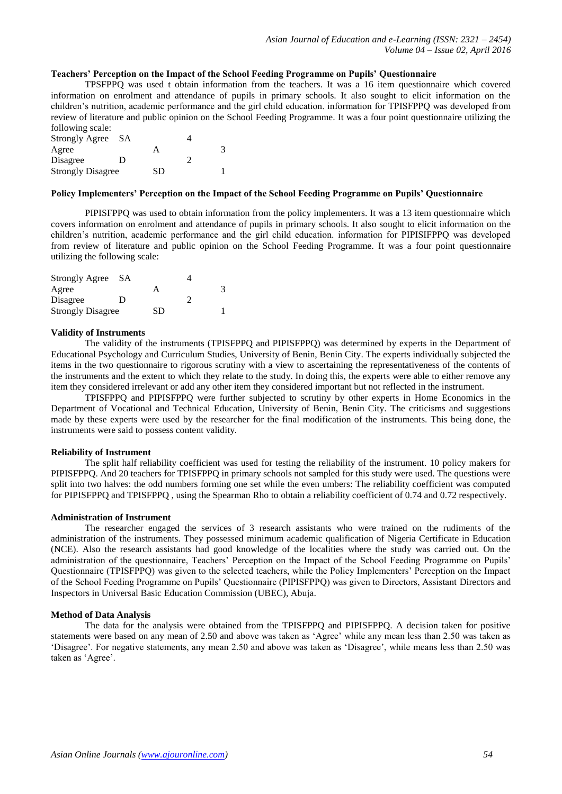# **Teachers' Perception on the Impact of the School Feeding Programme on Pupils' Questionnaire**

TPSFPPQ was used t obtain information from the teachers. It was a 16 item questionnaire which covered information on enrolment and attendance of pupils in primary schools. It also sought to elicit information on the children's nutrition, academic performance and the girl child education. information for TPISFPPQ was developed from review of literature and public opinion on the School Feeding Programme. It was a four point questionnaire utilizing the following scale:

| <b>Strongly Agree</b>    | - SA |    |   |
|--------------------------|------|----|---|
| Agree                    |      |    | 3 |
| Disagree                 | D    |    |   |
| <b>Strongly Disagree</b> |      | SD |   |

## **Policy Implementers' Perception on the Impact of the School Feeding Programme on Pupils' Questionnaire**

PIPISFPPQ was used to obtain information from the policy implementers. It was a 13 item questionnaire which covers information on enrolment and attendance of pupils in primary schools. It also sought to elicit information on the children's nutrition, academic performance and the girl child education. information for PIPISIFPPQ was developed from review of literature and public opinion on the School Feeding Programme. It was a four point questionnaire utilizing the following scale:

| Strongly Agree SA        |   |    |   |
|--------------------------|---|----|---|
| Agree                    |   |    | 3 |
| Disagree                 | D |    |   |
| <b>Strongly Disagree</b> |   | SD |   |

#### **Validity of Instruments**

The validity of the instruments (TPISFPPQ and PIPISFPPQ) was determined by experts in the Department of Educational Psychology and Curriculum Studies, University of Benin, Benin City. The experts individually subjected the items in the two questionnaire to rigorous scrutiny with a view to ascertaining the representativeness of the contents of the instruments and the extent to which they relate to the study. In doing this, the experts were able to either remove any item they considered irrelevant or add any other item they considered important but not reflected in the instrument.

TPISFPPQ and PIPISFPPQ were further subjected to scrutiny by other experts in Home Economics in the Department of Vocational and Technical Education, University of Benin, Benin City. The criticisms and suggestions made by these experts were used by the researcher for the final modification of the instruments. This being done, the instruments were said to possess content validity.

#### **Reliability of Instrument**

The split half reliability coefficient was used for testing the reliability of the instrument. 10 policy makers for PIPISFPPQ. And 20 teachers for TPISFPPQ in primary schools not sampled for this study were used. The questions were split into two halves: the odd numbers forming one set while the even umbers: The reliability coefficient was computed for PIPISFPPQ and TPISFPPQ , using the Spearman Rho to obtain a reliability coefficient of 0.74 and 0.72 respectively.

## **Administration of Instrument**

The researcher engaged the services of 3 research assistants who were trained on the rudiments of the administration of the instruments. They possessed minimum academic qualification of Nigeria Certificate in Education (NCE). Also the research assistants had good knowledge of the localities where the study was carried out. On the administration of the questionnaire, Teachers' Perception on the Impact of the School Feeding Programme on Pupils' Questionnaire (TPISFPPQ) was given to the selected teachers, while the Policy Implementers' Perception on the Impact of the School Feeding Programme on Pupils' Questionnaire (PIPISFPPQ) was given to Directors, Assistant Directors and Inspectors in Universal Basic Education Commission (UBEC), Abuja.

# **Method of Data Analysis**

The data for the analysis were obtained from the TPISFPPQ and PIPISFPPQ. A decision taken for positive statements were based on any mean of 2.50 and above was taken as 'Agree' while any mean less than 2.50 was taken as 'Disagree'. For negative statements, any mean 2.50 and above was taken as 'Disagree', while means less than 2.50 was taken as 'Agree'.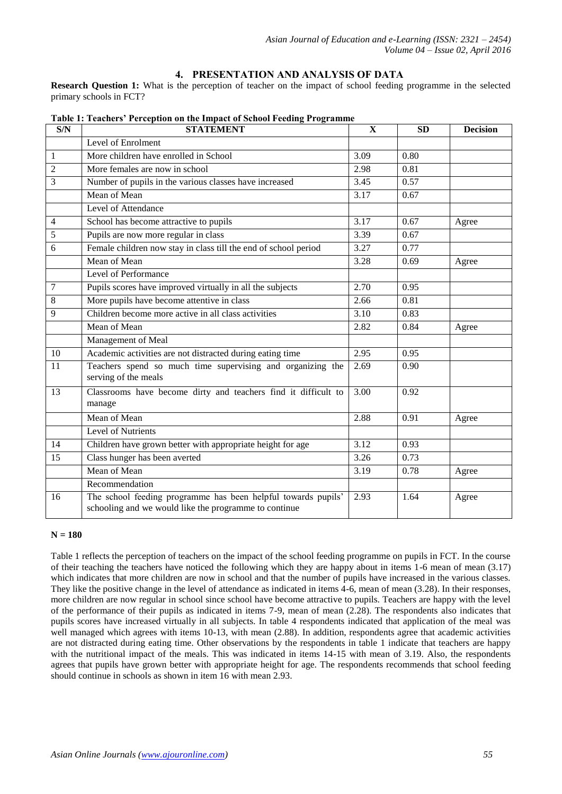# **4. PRESENTATION AND ANALYSIS OF DATA**

**Research Question 1:** What is the perception of teacher on the impact of school feeding programme in the selected primary schools in FCT?

| S/N            | <b>STATEMENT</b>                                                                                                       | $\mathbf{X}$ | <b>SD</b> | <b>Decision</b> |
|----------------|------------------------------------------------------------------------------------------------------------------------|--------------|-----------|-----------------|
|                | Level of Enrolment                                                                                                     |              |           |                 |
| 1              | More children have enrolled in School                                                                                  | 3.09         | 0.80      |                 |
| $\mathfrak{2}$ | More females are now in school                                                                                         | 2.98         | 0.81      |                 |
| 3              | Number of pupils in the various classes have increased                                                                 | 3.45         | 0.57      |                 |
|                | Mean of Mean                                                                                                           | 3.17         | 0.67      |                 |
|                | Level of Attendance                                                                                                    |              |           |                 |
| 4              | School has become attractive to pupils                                                                                 | 3.17         | 0.67      | Agree           |
| 5              | Pupils are now more regular in class                                                                                   | 3.39         | 0.67      |                 |
| 6              | Female children now stay in class till the end of school period                                                        | 3.27         | 0.77      |                 |
|                | Mean of Mean                                                                                                           | 3.28         | 0.69      | Agree           |
|                | Level of Performance                                                                                                   |              |           |                 |
| 7              | Pupils scores have improved virtually in all the subjects                                                              | 2.70         | 0.95      |                 |
| 8              | More pupils have become attentive in class                                                                             | 2.66         | 0.81      |                 |
| 9              | Children become more active in all class activities                                                                    | 3.10         | 0.83      |                 |
|                | Mean of Mean                                                                                                           | 2.82         | 0.84      | Agree           |
|                | Management of Meal                                                                                                     |              |           |                 |
| 10             | Academic activities are not distracted during eating time                                                              | 2.95         | 0.95      |                 |
| 11             | Teachers spend so much time supervising and organizing the<br>serving of the meals                                     | 2.69         | 0.90      |                 |
| 13             | Classrooms have become dirty and teachers find it difficult to<br>manage                                               | 3.00         | 0.92      |                 |
|                | Mean of Mean                                                                                                           | 2.88         | 0.91      | Agree           |
|                | Level of Nutrients                                                                                                     |              |           |                 |
| 14             | Children have grown better with appropriate height for age                                                             | 3.12         | 0.93      |                 |
| 15             | Class hunger has been averted                                                                                          | 3.26         | 0.73      |                 |
|                | Mean of Mean                                                                                                           | 3.19         | 0.78      | Agree           |
|                | Recommendation                                                                                                         |              |           |                 |
| 16             | The school feeding programme has been helpful towards pupils'<br>schooling and we would like the programme to continue | 2.93         | 1.64      | Agree           |

**Table 1: Teachers' Perception on the Impact of School Feeding Programme**

# **N = 180**

Table 1 reflects the perception of teachers on the impact of the school feeding programme on pupils in FCT. In the course of their teaching the teachers have noticed the following which they are happy about in items 1-6 mean of mean (3.17) which indicates that more children are now in school and that the number of pupils have increased in the various classes. They like the positive change in the level of attendance as indicated in items 4-6, mean of mean (3.28). In their responses, more children are now regular in school since school have become attractive to pupils. Teachers are happy with the level of the performance of their pupils as indicated in items 7-9, mean of mean (2.28). The respondents also indicates that pupils scores have increased virtually in all subjects. In table 4 respondents indicated that application of the meal was well managed which agrees with items 10-13, with mean (2.88). In addition, respondents agree that academic activities are not distracted during eating time. Other observations by the respondents in table 1 indicate that teachers are happy with the nutritional impact of the meals. This was indicated in items 14-15 with mean of 3.19. Also, the respondents agrees that pupils have grown better with appropriate height for age. The respondents recommends that school feeding should continue in schools as shown in item 16 with mean 2.93.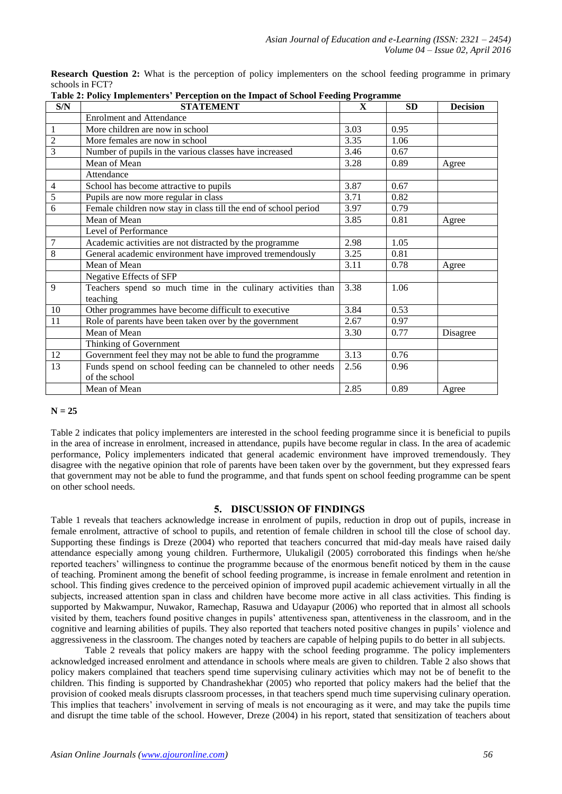|                 |  |  |  |  | <b>Research Question 2:</b> What is the perception of policy implementers on the school feeding programme in primary |  |  |  |  |
|-----------------|--|--|--|--|----------------------------------------------------------------------------------------------------------------------|--|--|--|--|
| schools in FCT? |  |  |  |  |                                                                                                                      |  |  |  |  |
|                 |  |  |  |  |                                                                                                                      |  |  |  |  |

| Table 2: Policy Implementers' Perception on the Impact of School Feeding Programme |                                                                 |              |           |                 |  |  |  |
|------------------------------------------------------------------------------------|-----------------------------------------------------------------|--------------|-----------|-----------------|--|--|--|
| S/N                                                                                | <b>STATEMENT</b>                                                | $\mathbf{x}$ | <b>SD</b> | <b>Decision</b> |  |  |  |
|                                                                                    | <b>Enrolment and Attendance</b>                                 |              |           |                 |  |  |  |
| $\mathbf{1}$                                                                       | More children are now in school                                 | 3.03         | 0.95      |                 |  |  |  |
| $\overline{c}$                                                                     | More females are now in school                                  | 3.35         | 1.06      |                 |  |  |  |
| 3                                                                                  | Number of pupils in the various classes have increased          | 3.46         | 0.67      |                 |  |  |  |
|                                                                                    | Mean of Mean                                                    | 3.28         | 0.89      | Agree           |  |  |  |
|                                                                                    | Attendance                                                      |              |           |                 |  |  |  |
| $\overline{4}$                                                                     | School has become attractive to pupils                          | 3.87         | 0.67      |                 |  |  |  |
| 5                                                                                  | Pupils are now more regular in class                            | 3.71         | 0.82      |                 |  |  |  |
| 6                                                                                  | Female children now stay in class till the end of school period | 3.97         | 0.79      |                 |  |  |  |
|                                                                                    | Mean of Mean                                                    | 3.85         | 0.81      | Agree           |  |  |  |
|                                                                                    | Level of Performance                                            |              |           |                 |  |  |  |
| 7                                                                                  | Academic activities are not distracted by the programme         | 2.98         | 1.05      |                 |  |  |  |
| 8                                                                                  | General academic environment have improved tremendously         | 3.25         | 0.81      |                 |  |  |  |
|                                                                                    | Mean of Mean                                                    | 3.11         | 0.78      | Agree           |  |  |  |
|                                                                                    | Negative Effects of SFP                                         |              |           |                 |  |  |  |
| 9                                                                                  | Teachers spend so much time in the culinary activities than     | 3.38         | 1.06      |                 |  |  |  |
|                                                                                    | teaching                                                        |              |           |                 |  |  |  |
| 10                                                                                 | Other programmes have become difficult to executive             | 3.84         | 0.53      |                 |  |  |  |
| 11                                                                                 | Role of parents have been taken over by the government          | 2.67         | 0.97      |                 |  |  |  |
|                                                                                    | Mean of Mean                                                    | 3.30         | 0.77      | Disagree        |  |  |  |
|                                                                                    | Thinking of Government                                          |              |           |                 |  |  |  |
| 12                                                                                 | Government feel they may not be able to fund the programme      | 3.13         | 0.76      |                 |  |  |  |
| 13                                                                                 | Funds spend on school feeding can be channeled to other needs   | 2.56         | 0.96      |                 |  |  |  |
|                                                                                    | of the school                                                   |              |           |                 |  |  |  |
|                                                                                    | Mean of Mean                                                    | 2.85         | 0.89      | Agree           |  |  |  |

# **N = 25**

Table 2 indicates that policy implementers are interested in the school feeding programme since it is beneficial to pupils in the area of increase in enrolment, increased in attendance, pupils have become regular in class. In the area of academic performance, Policy implementers indicated that general academic environment have improved tremendously. They disagree with the negative opinion that role of parents have been taken over by the government, but they expressed fears that government may not be able to fund the programme, and that funds spent on school feeding programme can be spent on other school needs.

# **5. DISCUSSION OF FINDINGS**

Table 1 reveals that teachers acknowledge increase in enrolment of pupils, reduction in drop out of pupils, increase in female enrolment, attractive of school to pupils, and retention of female children in school till the close of school day. Supporting these findings is Dreze (2004) who reported that teachers concurred that mid-day meals have raised daily attendance especially among young children. Furthermore, Ulukaligil (2005) corroborated this findings when he/she reported teachers' willingness to continue the programme because of the enormous benefit noticed by them in the cause of teaching. Prominent among the benefit of school feeding programme, is increase in female enrolment and retention in school. This finding gives credence to the perceived opinion of improved pupil academic achievement virtually in all the subjects, increased attention span in class and children have become more active in all class activities. This finding is supported by Makwampur, Nuwakor, Ramechap, Rasuwa and Udayapur (2006) who reported that in almost all schools visited by them, teachers found positive changes in pupils' attentiveness span, attentiveness in the classroom, and in the cognitive and learning abilities of pupils. They also reported that teachers noted positive changes in pupils' violence and aggressiveness in the classroom. The changes noted by teachers are capable of helping pupils to do better in all subjects.

Table 2 reveals that policy makers are happy with the school feeding programme. The policy implementers acknowledged increased enrolment and attendance in schools where meals are given to children. Table 2 also shows that policy makers complained that teachers spend time supervising culinary activities which may not be of benefit to the children. This finding is supported by Chandrashekhar (2005) who reported that policy makers had the belief that the provision of cooked meals disrupts classroom processes, in that teachers spend much time supervising culinary operation. This implies that teachers' involvement in serving of meals is not encouraging as it were, and may take the pupils time and disrupt the time table of the school. However, Dreze (2004) in his report, stated that sensitization of teachers about